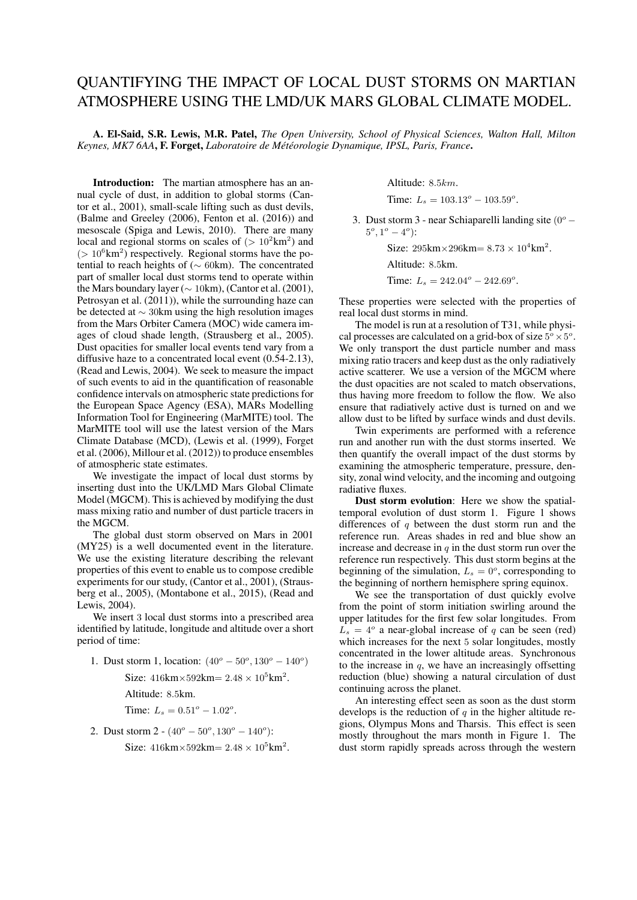## QUANTIFYING THE IMPACT OF LOCAL DUST STORMS ON MARTIAN ATMOSPHERE USING THE LMD/UK MARS GLOBAL CLIMATE MODEL.

A. El-Said, S.R. Lewis, M.R. Patel, *The Open University, School of Physical Sciences, Walton Hall, Milton Keynes, MK7 6AA*, F. Forget, *Laboratoire de Météorologie Dynamique, IPSL, Paris, France*.

Introduction: The martian atmosphere has an annual cycle of dust, in addition to global storms (Cantor et al., 2001), small-scale lifting such as dust devils, (Balme and Greeley (2006), Fenton et al. (2016)) and mesoscale (Spiga and Lewis, 2010). There are many local and regional storms on scales of  $(> 10<sup>2</sup> km<sup>2</sup>)$  and  $(> 10^6 \text{km}^2)$  respectively. Regional storms have the potential to reach heights of (∼ 60km). The concentrated part of smaller local dust storms tend to operate within the Mars boundary layer ( $\sim 10 \text{km}$ ), (Cantor et al. (2001), Petrosyan et al. (2011)), while the surrounding haze can be detected at ∼ 30km using the high resolution images from the Mars Orbiter Camera (MOC) wide camera images of cloud shade length, (Strausberg et al., 2005). Dust opacities for smaller local events tend vary from a diffusive haze to a concentrated local event (0.54-2.13), (Read and Lewis, 2004). We seek to measure the impact of such events to aid in the quantification of reasonable confidence intervals on atmospheric state predictions for the European Space Agency (ESA), MARs Modelling Information Tool for Engineering (MarMITE) tool. The MarMITE tool will use the latest version of the Mars Climate Database (MCD), (Lewis et al. (1999), Forget et al. (2006), Millour et al. (2012)) to produce ensembles of atmospheric state estimates.

We investigate the impact of local dust storms by inserting dust into the UK/LMD Mars Global Climate Model (MGCM). This is achieved by modifying the dust mass mixing ratio and number of dust particle tracers in the MGCM.

The global dust storm observed on Mars in 2001 (MY25) is a well documented event in the literature. We use the existing literature describing the relevant properties of this event to enable us to compose credible experiments for our study, (Cantor et al., 2001), (Strausberg et al., 2005), (Montabone et al., 2015), (Read and Lewis, 2004).

We insert 3 local dust storms into a prescribed area identified by latitude, longitude and altitude over a short period of time:

1. Dust storm 1, location:  $(40^{\circ} - 50^{\circ}, 130^{\circ} - 140^{\circ})$ 

Size:  $416 \text{km} \times 592 \text{km} = 2.48 \times 10^5 \text{km}^2$ .

Altitude: 8.5km.

Time:  $L_s = 0.51^\circ - 1.02^\circ$ .

2. Dust storm  $2 \cdot (40^{\circ} - 50^{\circ}, 130^{\circ} - 140^{\circ})$ : Size:  $416 \text{km} \times 592 \text{km} = 2.48 \times 10^5 \text{km}^2$ . Altitude: 8.5km.

Time:  $L_s = 103.13^\circ - 103.59^\circ$ .

3. Dust storm 3 - near Schiaparelli landing site  $(0^{\circ} 5^o, 1^o - 4^o$ :

Size:  $295 \text{km} \times 296 \text{km} = 8.73 \times 10^4 \text{km}^2$ .

Altitude: 8.5km.

Time:  $L_s = 242.04^\circ - 242.69^\circ$ .

These properties were selected with the properties of real local dust storms in mind.

The model is run at a resolution of T31, while physical processes are calculated on a grid-box of size  $5^{\circ} \times 5^{\circ}$ . We only transport the dust particle number and mass mixing ratio tracers and keep dust as the only radiatively active scatterer. We use a version of the MGCM where the dust opacities are not scaled to match observations, thus having more freedom to follow the flow. We also ensure that radiatively active dust is turned on and we allow dust to be lifted by surface winds and dust devils.

Twin experiments are performed with a reference run and another run with the dust storms inserted. We then quantify the overall impact of the dust storms by examining the atmospheric temperature, pressure, density, zonal wind velocity, and the incoming and outgoing radiative fluxes.

Dust storm evolution: Here we show the spatialtemporal evolution of dust storm 1. Figure 1 shows differences of  $q$  between the dust storm run and the reference run. Areas shades in red and blue show an increase and decrease in  $q$  in the dust storm run over the reference run respectively. This dust storm begins at the beginning of the simulation,  $L_s = 0^\circ$ , corresponding to the beginning of northern hemisphere spring equinox.

We see the transportation of dust quickly evolve from the point of storm initiation swirling around the upper latitudes for the first few solar longitudes. From  $L<sub>s</sub> = 4<sup>o</sup>$  a near-global increase of q can be seen (red) which increases for the next 5 solar longitudes, mostly concentrated in the lower altitude areas. Synchronous to the increase in  $q$ , we have an increasingly offsetting reduction (blue) showing a natural circulation of dust continuing across the planet.

An interesting effect seen as soon as the dust storm develops is the reduction of  $q$  in the higher altitude regions, Olympus Mons and Tharsis. This effect is seen mostly throughout the mars month in Figure 1. The dust storm rapidly spreads across through the western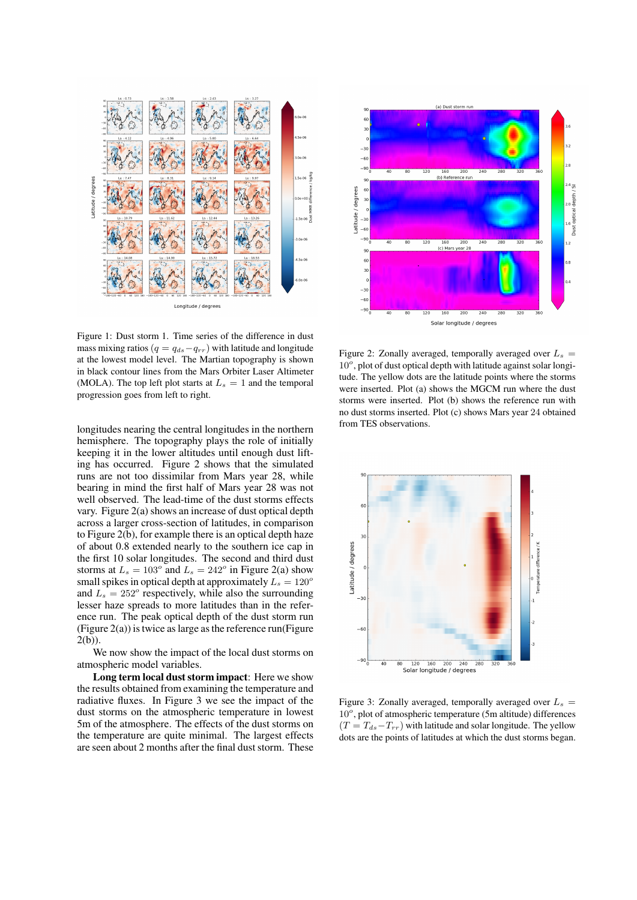

Figure 1: Dust storm 1. Time series of the difference in dust mass mixing ratios ( $q = q_{ds} - q_{rr}$ ) with latitude and longitude at the lowest model level. The Martian topography is shown in black contour lines from the Mars Orbiter Laser Altimeter (MOLA). The top left plot starts at  $L<sub>s</sub> = 1$  and the temporal progression goes from left to right.

longitudes nearing the central longitudes in the northern hemisphere. The topography plays the role of initially keeping it in the lower altitudes until enough dust lifting has occurred. Figure 2 shows that the simulated runs are not too dissimilar from Mars year 28, while bearing in mind the first half of Mars year 28 was not well observed. The lead-time of the dust storms effects vary. Figure 2(a) shows an increase of dust optical depth across a larger cross-section of latitudes, in comparison to Figure 2(b), for example there is an optical depth haze of about 0.8 extended nearly to the southern ice cap in the first 10 solar longitudes. The second and third dust storms at  $L_s = 103^\circ$  and  $L_s = 242^\circ$  in Figure 2(a) show small spikes in optical depth at approximately  $L_s = 120^\circ$ and  $L_s = 252^\circ$  respectively, while also the surrounding lesser haze spreads to more latitudes than in the reference run. The peak optical depth of the dust storm run (Figure  $2(a)$ ) is twice as large as the reference run(Figure 2(b)).

We now show the impact of the local dust storms on atmospheric model variables.

Long term local dust storm impact: Here we show the results obtained from examining the temperature and radiative fluxes. In Figure 3 we see the impact of the dust storms on the atmospheric temperature in lowest 5m of the atmosphere. The effects of the dust storms on the temperature are quite minimal. The largest effects are seen about 2 months after the final dust storm. These



Figure 2: Zonally averaged, temporally averaged over  $L_s =$ 10°, plot of dust optical depth with latitude against solar longitude. The yellow dots are the latitude points where the storms were inserted. Plot (a) shows the MGCM run where the dust storms were inserted. Plot (b) shows the reference run with no dust storms inserted. Plot (c) shows Mars year 24 obtained from TES observations.



Figure 3: Zonally averaged, temporally averaged over  $L<sub>s</sub>$  = 10°, plot of atmospheric temperature (5m altitude) differences  $(T = T_{ds} - T_{rr})$  with latitude and solar longitude. The yellow dots are the points of latitudes at which the dust storms began.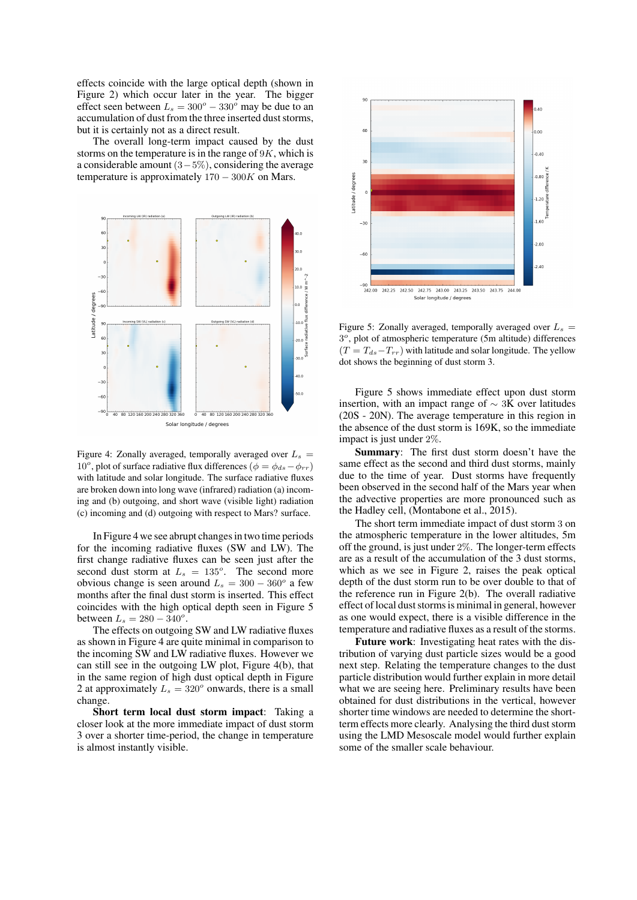effects coincide with the large optical depth (shown in Figure 2) which occur later in the year. The bigger effect seen between  $L_s = 300^\circ - 330^\circ$  may be due to an accumulation of dust from the three inserted dust storms, but it is certainly not as a direct result.

The overall long-term impact caused by the dust storms on the temperature is in the range of  $9K$ , which is a considerable amount (3−5%), considering the average temperature is approximately  $170 - 300K$  on Mars.



Figure 4: Zonally averaged, temporally averaged over  $L_s$  = 10<sup>o</sup>, plot of surface radiative flux differences ( $\phi = \phi_{ds} - \phi_{rr}$ ) with latitude and solar longitude. The surface radiative fluxes are broken down into long wave (infrared) radiation (a) incoming and (b) outgoing, and short wave (visible light) radiation (c) incoming and (d) outgoing with respect to Mars? surface.

In Figure 4 we see abrupt changes in two time periods for the incoming radiative fluxes (SW and LW). The first change radiative fluxes can be seen just after the second dust storm at  $L_s = 135^\circ$ . The second more obvious change is seen around  $L_s = 300 - 360^\circ$  a few months after the final dust storm is inserted. This effect coincides with the high optical depth seen in Figure 5 between  $L_s = 280 - 340^{\circ}$ .

The effects on outgoing SW and LW radiative fluxes as shown in Figure 4 are quite minimal in comparison to the incoming SW and LW radiative fluxes. However we can still see in the outgoing LW plot, Figure 4(b), that in the same region of high dust optical depth in Figure 2 at approximately  $L_s = 320^\circ$  onwards, there is a small change.

Short term local dust storm impact: Taking a closer look at the more immediate impact of dust storm 3 over a shorter time-period, the change in temperature is almost instantly visible.



Figure 5: Zonally averaged, temporally averaged over  $L<sub>s</sub>$  = 3°, plot of atmospheric temperature (5m altitude) differences  $(T = T_{ds} - T_{rr})$  with latitude and solar longitude. The yellow dot shows the beginning of dust storm 3.

Figure 5 shows immediate effect upon dust storm insertion, with an impact range of  $\sim$  3K over latitudes (20S - 20N). The average temperature in this region in the absence of the dust storm is 169K, so the immediate impact is just under 2%.

Summary: The first dust storm doesn't have the same effect as the second and third dust storms, mainly due to the time of year. Dust storms have frequently been observed in the second half of the Mars year when the advective properties are more pronounced such as the Hadley cell, (Montabone et al., 2015).

The short term immediate impact of dust storm 3 on the atmospheric temperature in the lower altitudes, 5m off the ground, is just under 2%. The longer-term effects are as a result of the accumulation of the 3 dust storms, which as we see in Figure 2, raises the peak optical depth of the dust storm run to be over double to that of the reference run in Figure 2(b). The overall radiative effect of local dust storms is minimal in general, however as one would expect, there is a visible difference in the temperature and radiative fluxes as a result of the storms.

Future work: Investigating heat rates with the distribution of varying dust particle sizes would be a good next step. Relating the temperature changes to the dust particle distribution would further explain in more detail what we are seeing here. Preliminary results have been obtained for dust distributions in the vertical, however shorter time windows are needed to determine the shortterm effects more clearly. Analysing the third dust storm using the LMD Mesoscale model would further explain some of the smaller scale behaviour.